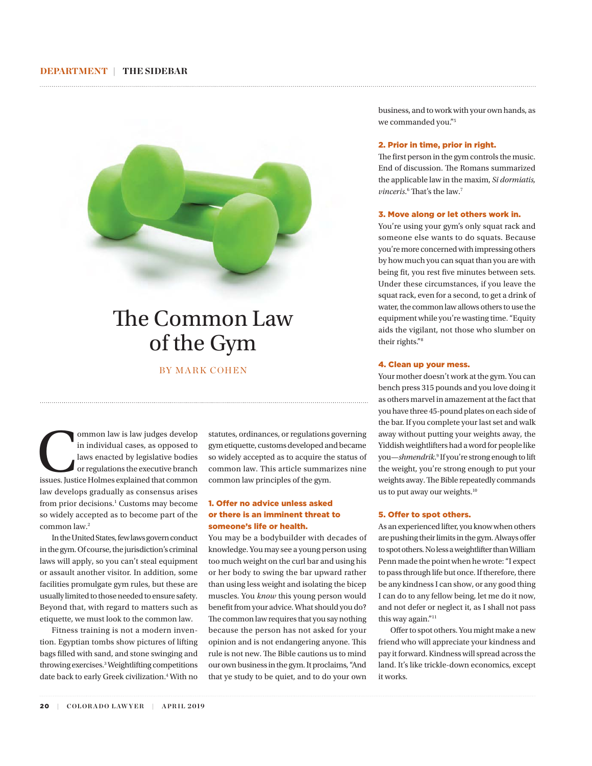## DEPARTMENT | THE SIDEBAR



# The Common Law of the Gym

# BY MARK COHEN

ommon law is law judges develop<br>
in individual cases, as opposed to<br>
laws enacted by legislative bodies<br>
or regulations the executive branch<br>
issues. Justice Holmes explained that common in individual cases, as opposed to laws enacted by legislative bodies or regulations the executive branch law develops gradually as consensus arises from prior decisions.<sup>1</sup> Customs may become so widely accepted as to become part of the common law.2

In the United States, few laws govern conduct in the gym. Of course, the jurisdiction's criminal laws will apply, so you can't steal equipment or assault another visitor. In addition, some facilities promulgate gym rules, but these are usually limited to those needed to ensure safety. Beyond that, with regard to matters such as etiquette, we must look to the common law.

Fitness training is not a modern invention. Egyptian tombs show pictures of lifting bags filled with sand, and stone swinging and throwing exercises.3 Weightlifting competitions date back to early Greek civilization.4 With no

statutes, ordinances, or regulations governing gym etiquette, customs developed and became so widely accepted as to acquire the status of common law. This article summarizes nine common law principles of the gym.

# 1. Offer no advice unless asked or there is an imminent threat to someone's life or health.

You may be a bodybuilder with decades of knowledge. You may see a young person using too much weight on the curl bar and using his or her body to swing the bar upward rather than using less weight and isolating the bicep muscles. You *know* this young person would benefit from your advice. What should you do? The common law requires that you say nothing because the person has not asked for your opinion and is not endangering anyone. This rule is not new. The Bible cautions us to mind our own business in the gym. It proclaims, "And that ye study to be quiet, and to do your own

business, and to work with your own hands, as we commanded you."5

#### 2. Prior in time, prior in right.

The first person in the gym controls the music. End of discussion. The Romans summarized the applicable law in the maxim, *Si dormiatis, vinceris*.<sup>6</sup> That's the law.<sup>7</sup>

#### 3. Move along or let others work in.

You're using your gym's only squat rack and someone else wants to do squats. Because you're more concerned with impressing others by how much you can squat than you are with being fit, you rest five minutes between sets. Under these circumstances, if you leave the squat rack, even for a second, to get a drink of water, the common law allows others to use the equipment while you're wasting time. "Equity aids the vigilant, not those who slumber on their rights."8

#### 4. Clean up your mess.

Your mother doesn't work at the gym. You can bench press 315 pounds and you love doing it as others marvel in amazement at the fact that you have three 45-pound plates on each side of the bar. If you complete your last set and walk away without putting your weights away, the Yiddish weightlifters had a word for people like you—*shmendrik*.<sup>9</sup> If you're strong enough to lift the weight, you're strong enough to put your weights away. The Bible repeatedly commands us to put away our weights.<sup>10</sup>

#### 5. Offer to spot others.

As an experienced lifter, you know when others are pushing their limits in the gym. Always offer to spot others. No less a weightlifter than William Penn made the point when he wrote: "I expect to pass through life but once. If therefore, there be any kindness I can show, or any good thing I can do to any fellow being, let me do it now, and not defer or neglect it, as I shall not pass this way again."<sup>11</sup>

Offer to spot others. You might make a new friend who will appreciate your kindness and pay it forward. Kindness will spread across the land. It's like trickle-down economics, except it works.